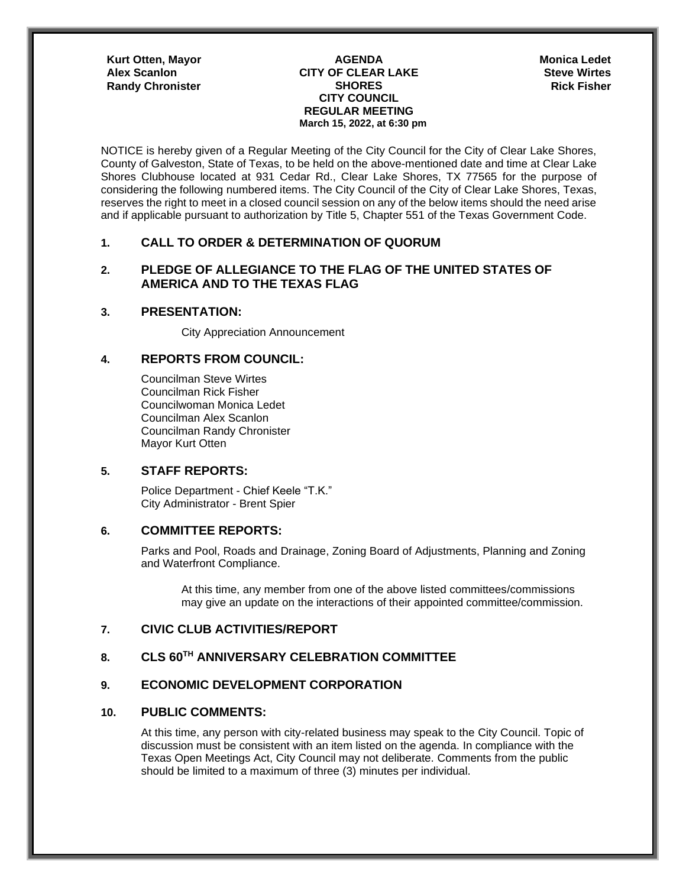**Kurt Otten, Mayor AGENDA** 

#### **CITY OF CLEAR LAKE Alex Scanlon Steve Wirtes SHORES CITY COUNCIL REGULAR MEETING March 15, 2022, at 6:30 pm Randy Chronister Chronister Chronic Community SHORES Rick Fisher** Rick Fisher

**Monica Ledet**

NOTICE is hereby given of a Regular Meeting of the City Council for the City of Clear Lake Shores, County of Galveston, State of Texas, to be held on the above-mentioned date and time at Clear Lake Shores Clubhouse located at 931 Cedar Rd., Clear Lake Shores, TX 77565 for the purpose of considering the following numbered items. The City Council of the City of Clear Lake Shores, Texas, reserves the right to meet in a closed council session on any of the below items should the need arise and if applicable pursuant to authorization by Title 5, Chapter 551 of the Texas Government Code.

### **1. CALL TO ORDER & DETERMINATION OF QUORUM**

# **2. PLEDGE OF ALLEGIANCE TO THE FLAG OF THE UNITED STATES OF AMERICA AND TO THE TEXAS FLAG**

### **3. PRESENTATION:**

City Appreciation Announcement

### **4. REPORTS FROM COUNCIL:**

Councilman Steve Wirtes Councilman Rick Fisher Councilwoman Monica Ledet Councilman Alex Scanlon Councilman Randy Chronister Mayor Kurt Otten

### **5. STAFF REPORTS:**

Police Department - Chief Keele "T.K." City Administrator - Brent Spier

## **6. COMMITTEE REPORTS:**

Parks and Pool, Roads and Drainage, Zoning Board of Adjustments, Planning and Zoning and Waterfront Compliance.

At this time, any member from one of the above listed committees/commissions may give an update on the interactions of their appointed committee/commission.

## **7. CIVIC CLUB ACTIVITIES/REPORT**

## **8. CLS 60TH ANNIVERSARY CELEBRATION COMMITTEE**

# **9. ECONOMIC DEVELOPMENT CORPORATION**

### **10. PUBLIC COMMENTS:**

At this time, any person with city-related business may speak to the City Council. Topic of discussion must be consistent with an item listed on the agenda. In compliance with the Texas Open Meetings Act, City Council may not deliberate. Comments from the public should be limited to a maximum of three (3) minutes per individual.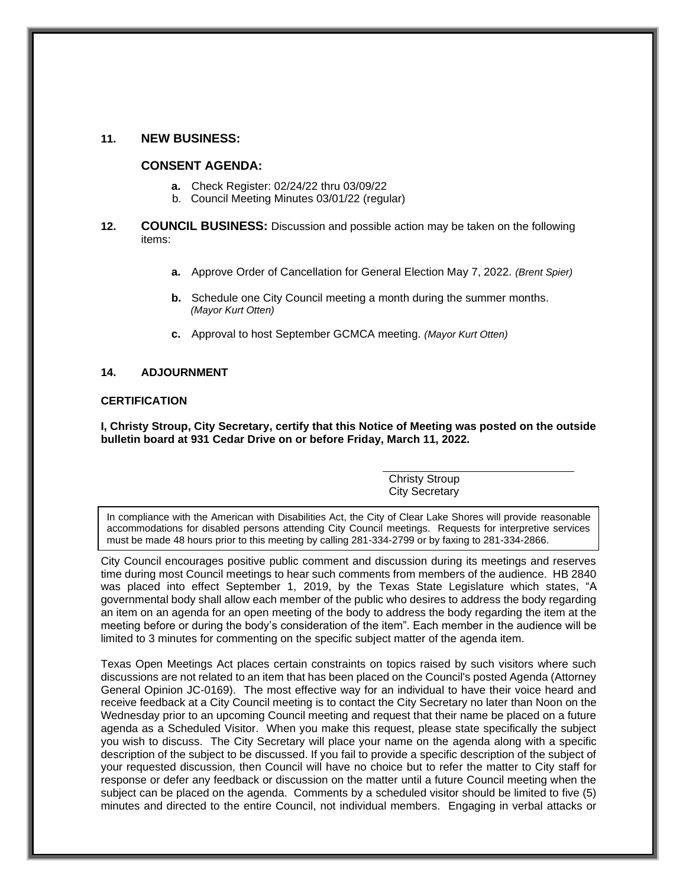### **11. NEW BUSINESS:**

### **CONSENT AGENDA:**

- **a.** Check Register: 02/24/22 thru 03/09/22
- b. Council Meeting Minutes 03/01/22 (regular)
- **12. COUNCIL BUSINESS:** Discussion and possible action may be taken on the following items:
	- **a.** Approve Order of Cancellation for General Election May 7, 2022. *(Brent Spier)*
	- **b.** Schedule one City Council meeting a month during the summer months. *(Mayor Kurt Otten)*
	- **c.** Approval to host September GCMCA meeting. *(Mayor Kurt Otten)*

#### **14. ADJOURNMENT**

### **CERTIFICATION**

**I, Christy Stroup, City Secretary, certify that this Notice of Meeting was posted on the outside bulletin board at 931 Cedar Drive on or before Friday, March 11, 2022.**

> Christy Stroup City Secretary

In compliance with the American with Disabilities Act, the City of Clear Lake Shores will provide reasonable accommodations for disabled persons attending City Council meetings. Requests for interpretive services must be made 48 hours prior to this meeting by calling 281-334-2799 or by faxing to 281-334-2866.

City Council encourages positive public comment and discussion during its meetings and reserves time during most Council meetings to hear such comments from members of the audience. HB 2840 was placed into effect September 1, 2019, by the Texas State Legislature which states, "A governmental body shall allow each member of the public who desires to address the body regarding an item on an agenda for an open meeting of the body to address the body regarding the item at the meeting before or during the body's consideration of the item". Each member in the audience will be limited to 3 minutes for commenting on the specific subject matter of the agenda item.

Texas Open Meetings Act places certain constraints on topics raised by such visitors where such discussions are not related to an item that has been placed on the Council's posted Agenda (Attorney General Opinion JC-0169). The most effective way for an individual to have their voice heard and receive feedback at a City Council meeting is to contact the City Secretary no later than Noon on the Wednesday prior to an upcoming Council meeting and request that their name be placed on a future agenda as a Scheduled Visitor. When you make this request, please state specifically the subject you wish to discuss. The City Secretary will place your name on the agenda along with a specific description of the subject to be discussed. If you fail to provide a specific description of the subject of your requested discussion, then Council will have no choice but to refer the matter to City staff for response or defer any feedback or discussion on the matter until a future Council meeting when the subject can be placed on the agenda. Comments by a scheduled visitor should be limited to five (5) minutes and directed to the entire Council, not individual members. Engaging in verbal attacks or